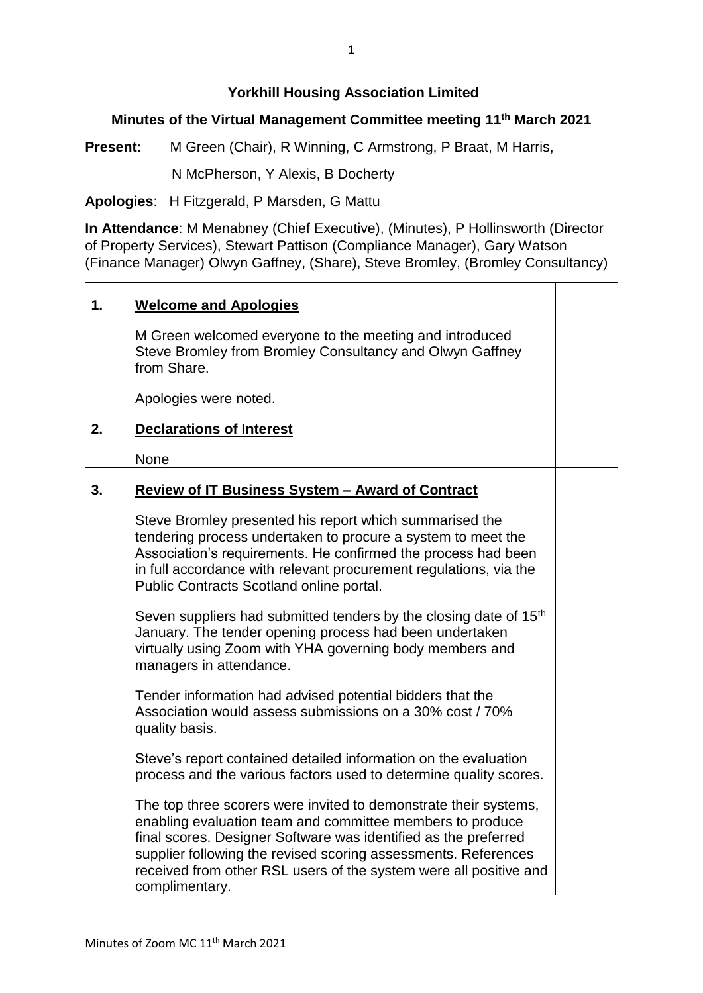## **Yorkhill Housing Association Limited**

## **Minutes of the Virtual Management Committee meeting 11 th March 2021**

**Present:** M Green (Chair), R Winning, C Armstrong, P Braat, M Harris,

N McPherson, Y Alexis, B Docherty

**Apologies**: H Fitzgerald, P Marsden, G Mattu

**In Attendance**: M Menabney (Chief Executive), (Minutes), P Hollinsworth (Director of Property Services), Stewart Pattison (Compliance Manager), Gary Watson (Finance Manager) Olwyn Gaffney, (Share), Steve Bromley, (Bromley Consultancy)

| 1. | <b>Welcome and Apologies</b>                                                                                                                                                                                                                                                                                                                              |  |
|----|-----------------------------------------------------------------------------------------------------------------------------------------------------------------------------------------------------------------------------------------------------------------------------------------------------------------------------------------------------------|--|
|    | M Green welcomed everyone to the meeting and introduced<br>Steve Bromley from Bromley Consultancy and Olwyn Gaffney<br>from Share.                                                                                                                                                                                                                        |  |
|    | Apologies were noted.                                                                                                                                                                                                                                                                                                                                     |  |
| 2. | <b>Declarations of Interest</b>                                                                                                                                                                                                                                                                                                                           |  |
|    | None                                                                                                                                                                                                                                                                                                                                                      |  |
| 3. | <b>Review of IT Business System - Award of Contract</b>                                                                                                                                                                                                                                                                                                   |  |
|    | Steve Bromley presented his report which summarised the<br>tendering process undertaken to procure a system to meet the<br>Association's requirements. He confirmed the process had been<br>in full accordance with relevant procurement regulations, via the<br>Public Contracts Scotland online portal.                                                 |  |
|    | Seven suppliers had submitted tenders by the closing date of 15 <sup>th</sup><br>January. The tender opening process had been undertaken<br>virtually using Zoom with YHA governing body members and<br>managers in attendance.                                                                                                                           |  |
|    | Tender information had advised potential bidders that the<br>Association would assess submissions on a 30% cost / 70%<br>quality basis.                                                                                                                                                                                                                   |  |
|    | Steve's report contained detailed information on the evaluation<br>process and the various factors used to determine quality scores.                                                                                                                                                                                                                      |  |
|    | The top three scorers were invited to demonstrate their systems,<br>enabling evaluation team and committee members to produce<br>final scores. Designer Software was identified as the preferred<br>supplier following the revised scoring assessments. References<br>received from other RSL users of the system were all positive and<br>complimentary. |  |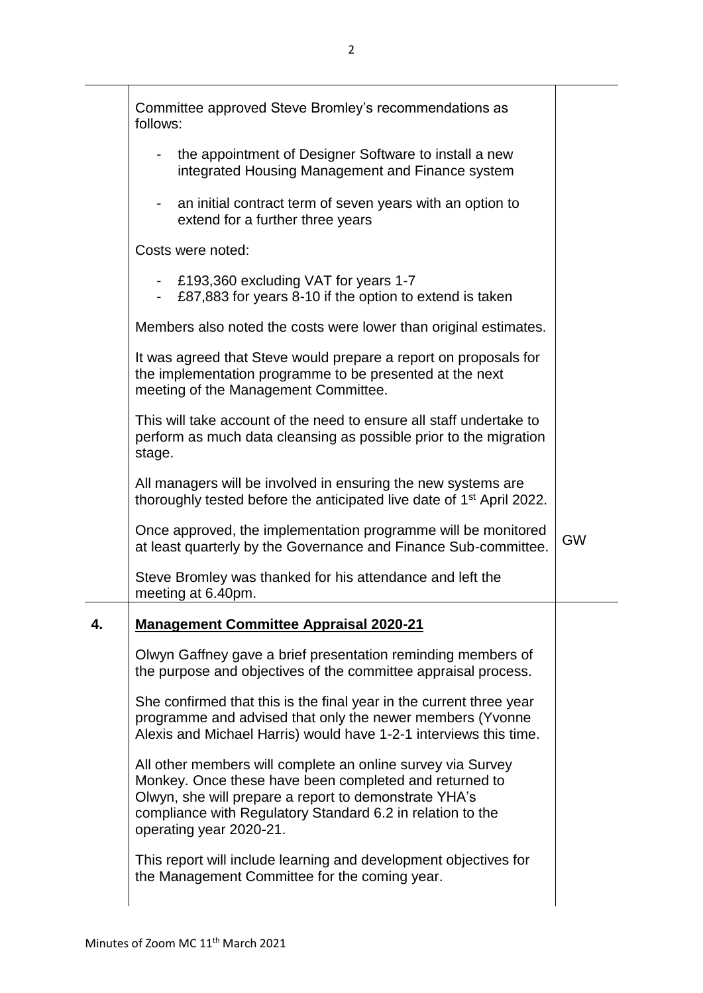|    | Committee approved Steve Bromley's recommendations as                                                                                                                                                                                                                   |           |
|----|-------------------------------------------------------------------------------------------------------------------------------------------------------------------------------------------------------------------------------------------------------------------------|-----------|
|    | follows:                                                                                                                                                                                                                                                                |           |
|    | the appointment of Designer Software to install a new<br>integrated Housing Management and Finance system                                                                                                                                                               |           |
|    | an initial contract term of seven years with an option to<br>$\blacksquare$<br>extend for a further three years                                                                                                                                                         |           |
|    | Costs were noted:                                                                                                                                                                                                                                                       |           |
|    | - £193,360 excluding VAT for years 1-7<br>£87,883 for years 8-10 if the option to extend is taken                                                                                                                                                                       |           |
|    | Members also noted the costs were lower than original estimates.                                                                                                                                                                                                        |           |
|    | It was agreed that Steve would prepare a report on proposals for<br>the implementation programme to be presented at the next<br>meeting of the Management Committee.                                                                                                    |           |
|    | This will take account of the need to ensure all staff undertake to<br>perform as much data cleansing as possible prior to the migration<br>stage.                                                                                                                      |           |
|    | All managers will be involved in ensuring the new systems are<br>thoroughly tested before the anticipated live date of 1 <sup>st</sup> April 2022.                                                                                                                      |           |
|    | Once approved, the implementation programme will be monitored<br>at least quarterly by the Governance and Finance Sub-committee.                                                                                                                                        | <b>GW</b> |
|    | Steve Bromley was thanked for his attendance and left the<br>meeting at 6.40pm.                                                                                                                                                                                         |           |
| 4. | <b>Management Committee Appraisal 2020-21</b>                                                                                                                                                                                                                           |           |
|    | Olwyn Gaffney gave a brief presentation reminding members of<br>the purpose and objectives of the committee appraisal process.                                                                                                                                          |           |
|    | She confirmed that this is the final year in the current three year<br>programme and advised that only the newer members (Yvonne<br>Alexis and Michael Harris) would have 1-2-1 interviews this time.                                                                   |           |
|    | All other members will complete an online survey via Survey<br>Monkey. Once these have been completed and returned to<br>Olwyn, she will prepare a report to demonstrate YHA's<br>compliance with Regulatory Standard 6.2 in relation to the<br>operating year 2020-21. |           |
|    | This report will include learning and development objectives for<br>the Management Committee for the coming year.                                                                                                                                                       |           |
|    |                                                                                                                                                                                                                                                                         |           |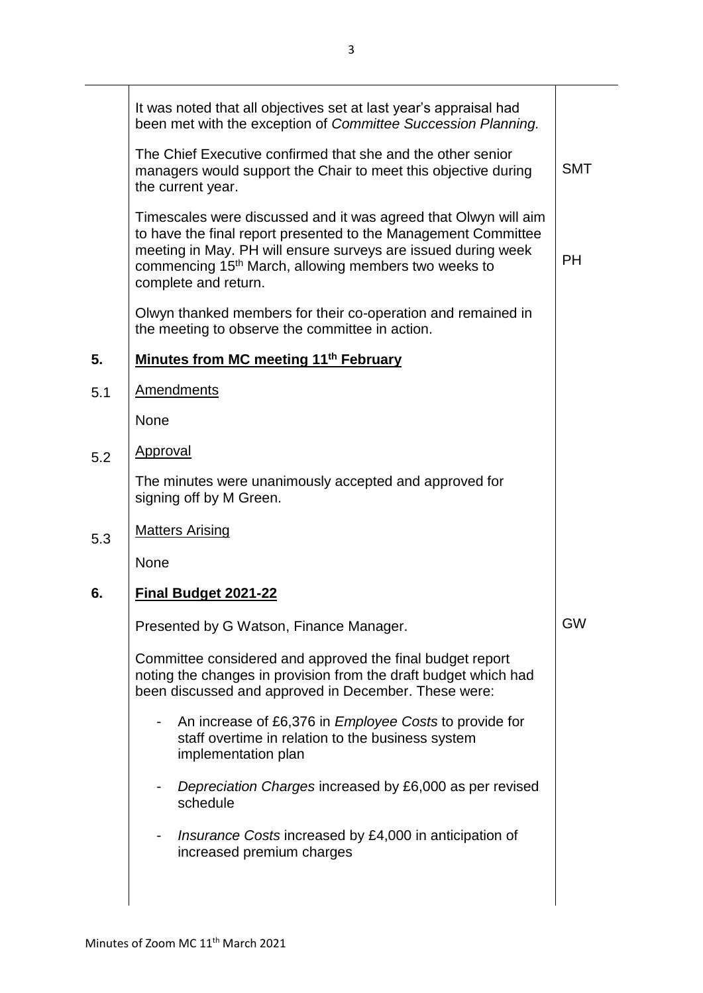|     | It was noted that all objectives set at last year's appraisal had<br>been met with the exception of Committee Succession Planning.                                                                                                                                                             |            |
|-----|------------------------------------------------------------------------------------------------------------------------------------------------------------------------------------------------------------------------------------------------------------------------------------------------|------------|
|     | The Chief Executive confirmed that she and the other senior<br>managers would support the Chair to meet this objective during<br>the current year.                                                                                                                                             | <b>SMT</b> |
|     | Timescales were discussed and it was agreed that Olwyn will aim<br>to have the final report presented to the Management Committee<br>meeting in May. PH will ensure surveys are issued during week<br>commencing 15 <sup>th</sup> March, allowing members two weeks to<br>complete and return. | <b>PH</b>  |
|     | Olwyn thanked members for their co-operation and remained in<br>the meeting to observe the committee in action.                                                                                                                                                                                |            |
| 5.  | Minutes from MC meeting 11 <sup>th</sup> February                                                                                                                                                                                                                                              |            |
| 5.1 | <b>Amendments</b>                                                                                                                                                                                                                                                                              |            |
|     | None                                                                                                                                                                                                                                                                                           |            |
| 5.2 | Approval                                                                                                                                                                                                                                                                                       |            |
|     | The minutes were unanimously accepted and approved for<br>signing off by M Green.                                                                                                                                                                                                              |            |
| 5.3 | <b>Matters Arising</b>                                                                                                                                                                                                                                                                         |            |
|     | None                                                                                                                                                                                                                                                                                           |            |
| 6.  | Final Budget 2021-22                                                                                                                                                                                                                                                                           |            |
|     | Presented by G Watson, Finance Manager.                                                                                                                                                                                                                                                        | <b>GW</b>  |
|     | Committee considered and approved the final budget report<br>noting the changes in provision from the draft budget which had<br>been discussed and approved in December. These were:                                                                                                           |            |
|     | An increase of £6,376 in <i>Employee</i> Costs to provide for<br>staff overtime in relation to the business system<br>implementation plan                                                                                                                                                      |            |
|     | Depreciation Charges increased by £6,000 as per revised<br>schedule                                                                                                                                                                                                                            |            |
|     | <i>Insurance Costs</i> increased by £4,000 in anticipation of<br>increased premium charges                                                                                                                                                                                                     |            |
|     |                                                                                                                                                                                                                                                                                                |            |
|     |                                                                                                                                                                                                                                                                                                |            |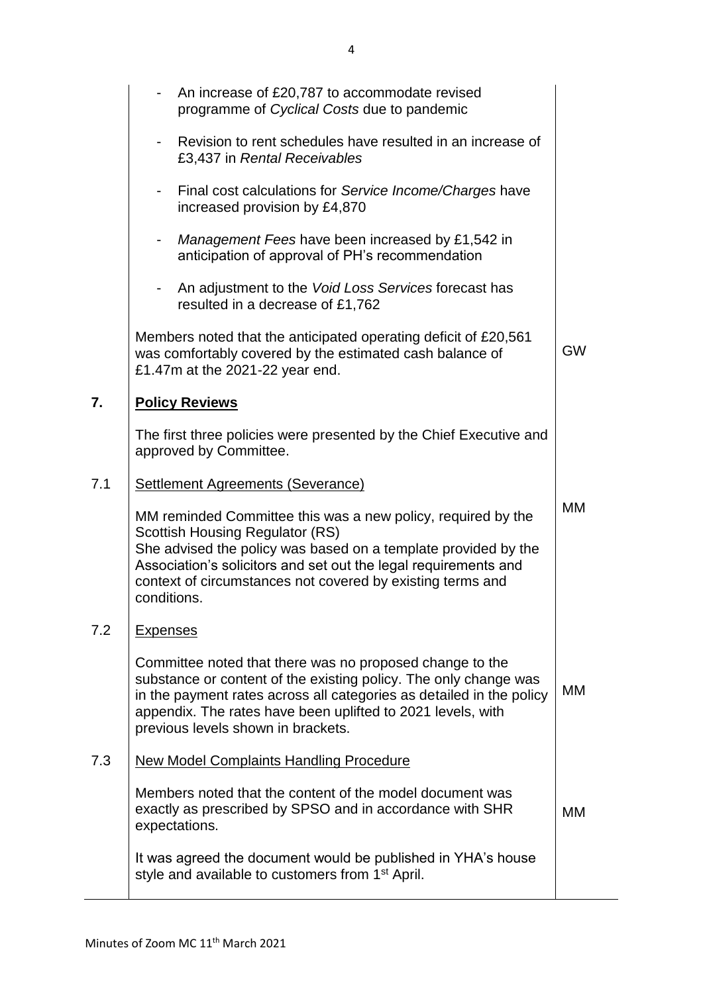|     | An increase of £20,787 to accommodate revised<br>$\overline{\phantom{a}}$<br>programme of Cyclical Costs due to pandemic                                                                                                                                                                                                 |           |
|-----|--------------------------------------------------------------------------------------------------------------------------------------------------------------------------------------------------------------------------------------------------------------------------------------------------------------------------|-----------|
|     | Revision to rent schedules have resulted in an increase of<br>£3,437 in Rental Receivables                                                                                                                                                                                                                               |           |
|     | - Final cost calculations for Service Income/Charges have<br>increased provision by £4,870                                                                                                                                                                                                                               |           |
|     | Management Fees have been increased by £1,542 in<br>$\blacksquare$<br>anticipation of approval of PH's recommendation                                                                                                                                                                                                    |           |
|     | An adjustment to the Void Loss Services forecast has<br>resulted in a decrease of £1,762                                                                                                                                                                                                                                 |           |
|     | Members noted that the anticipated operating deficit of £20,561<br>was comfortably covered by the estimated cash balance of<br>£1.47m at the 2021-22 year end.                                                                                                                                                           | <b>GW</b> |
| 7.  | <b>Policy Reviews</b>                                                                                                                                                                                                                                                                                                    |           |
|     | The first three policies were presented by the Chief Executive and<br>approved by Committee.                                                                                                                                                                                                                             |           |
| 7.1 | <b>Settlement Agreements (Severance)</b>                                                                                                                                                                                                                                                                                 |           |
|     | MM reminded Committee this was a new policy, required by the<br><b>Scottish Housing Regulator (RS)</b><br>She advised the policy was based on a template provided by the<br>Association's solicitors and set out the legal requirements and<br>context of circumstances not covered by existing terms and<br>conditions. | МM        |
| 7.2 | <b>Expenses</b>                                                                                                                                                                                                                                                                                                          |           |
|     | Committee noted that there was no proposed change to the<br>substance or content of the existing policy. The only change was<br>in the payment rates across all categories as detailed in the policy<br>appendix. The rates have been uplifted to 2021 levels, with<br>previous levels shown in brackets.                | MM        |
| 7.3 | <b>New Model Complaints Handling Procedure</b>                                                                                                                                                                                                                                                                           |           |
|     | Members noted that the content of the model document was<br>exactly as prescribed by SPSO and in accordance with SHR<br>expectations.                                                                                                                                                                                    | МM        |
|     | It was agreed the document would be published in YHA's house<br>style and available to customers from 1 <sup>st</sup> April.                                                                                                                                                                                             |           |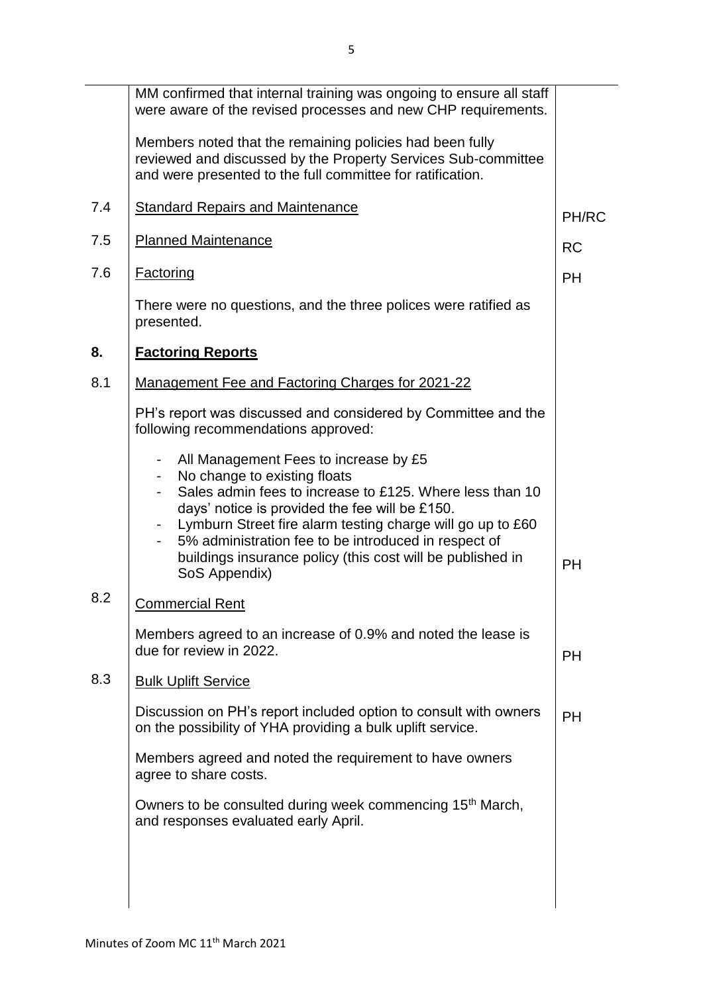|     | MM confirmed that internal training was ongoing to ensure all staff<br>were aware of the revised processes and new CHP requirements.                                                                                                                                                                                                                                                     |           |
|-----|------------------------------------------------------------------------------------------------------------------------------------------------------------------------------------------------------------------------------------------------------------------------------------------------------------------------------------------------------------------------------------------|-----------|
|     | Members noted that the remaining policies had been fully<br>reviewed and discussed by the Property Services Sub-committee<br>and were presented to the full committee for ratification.                                                                                                                                                                                                  |           |
| 7.4 | <b>Standard Repairs and Maintenance</b>                                                                                                                                                                                                                                                                                                                                                  | PH/RC     |
| 7.5 | <b>Planned Maintenance</b>                                                                                                                                                                                                                                                                                                                                                               | <b>RC</b> |
| 7.6 | <b>Factoring</b>                                                                                                                                                                                                                                                                                                                                                                         | <b>PH</b> |
|     | There were no questions, and the three polices were ratified as<br>presented.                                                                                                                                                                                                                                                                                                            |           |
| 8.  | <b>Factoring Reports</b>                                                                                                                                                                                                                                                                                                                                                                 |           |
| 8.1 | <b>Management Fee and Factoring Charges for 2021-22</b>                                                                                                                                                                                                                                                                                                                                  |           |
|     | PH's report was discussed and considered by Committee and the<br>following recommendations approved:                                                                                                                                                                                                                                                                                     |           |
|     | All Management Fees to increase by £5<br>No change to existing floats<br>Sales admin fees to increase to £125. Where less than 10<br>days' notice is provided the fee will be £150.<br>Lymburn Street fire alarm testing charge will go up to £60<br>5% administration fee to be introduced in respect of<br>buildings insurance policy (this cost will be published in<br>SoS Appendix) | <b>PH</b> |
| 8.2 | <b>Commercial Rent</b>                                                                                                                                                                                                                                                                                                                                                                   |           |
|     | Members agreed to an increase of 0.9% and noted the lease is<br>due for review in 2022.                                                                                                                                                                                                                                                                                                  | <b>PH</b> |
| 8.3 | <b>Bulk Uplift Service</b>                                                                                                                                                                                                                                                                                                                                                               |           |
|     | Discussion on PH's report included option to consult with owners<br>on the possibility of YHA providing a bulk uplift service.                                                                                                                                                                                                                                                           | <b>PH</b> |
|     | Members agreed and noted the requirement to have owners<br>agree to share costs.                                                                                                                                                                                                                                                                                                         |           |
|     | Owners to be consulted during week commencing 15 <sup>th</sup> March,<br>and responses evaluated early April.                                                                                                                                                                                                                                                                            |           |
|     |                                                                                                                                                                                                                                                                                                                                                                                          |           |
|     |                                                                                                                                                                                                                                                                                                                                                                                          |           |
|     |                                                                                                                                                                                                                                                                                                                                                                                          |           |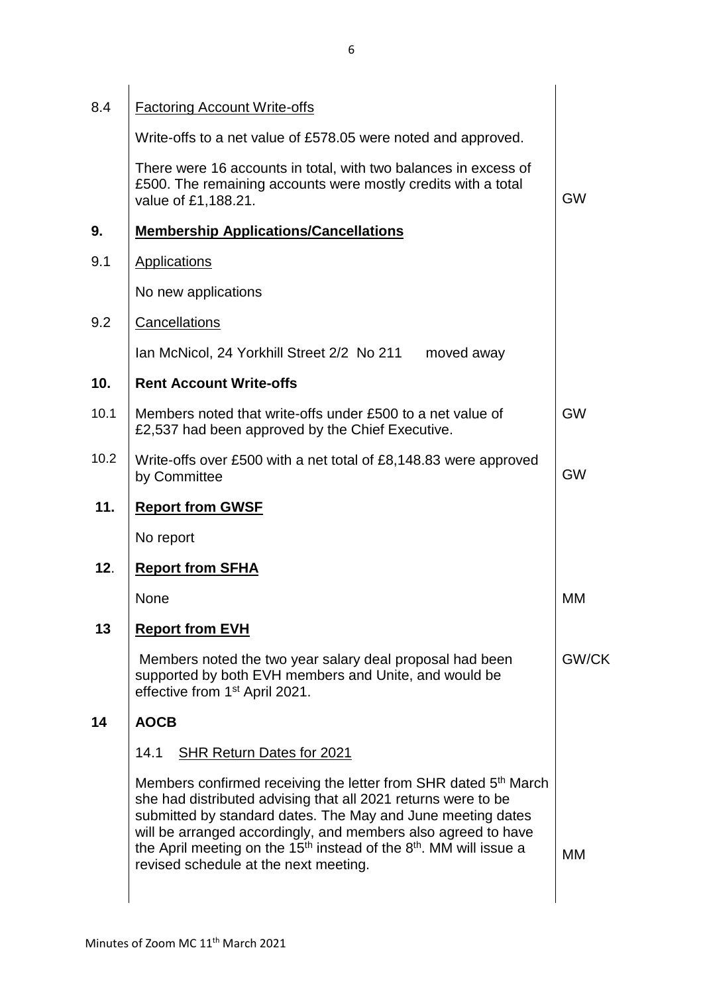| 8.4  | <b>Factoring Account Write-offs</b>                                                                                                                                                                                                                                                                                                                                                             |           |
|------|-------------------------------------------------------------------------------------------------------------------------------------------------------------------------------------------------------------------------------------------------------------------------------------------------------------------------------------------------------------------------------------------------|-----------|
|      | Write-offs to a net value of £578.05 were noted and approved.                                                                                                                                                                                                                                                                                                                                   |           |
|      | There were 16 accounts in total, with two balances in excess of<br>£500. The remaining accounts were mostly credits with a total<br>value of £1,188.21.                                                                                                                                                                                                                                         | <b>GW</b> |
| 9.   | <b>Membership Applications/Cancellations</b>                                                                                                                                                                                                                                                                                                                                                    |           |
| 9.1  | <b>Applications</b>                                                                                                                                                                                                                                                                                                                                                                             |           |
|      | No new applications                                                                                                                                                                                                                                                                                                                                                                             |           |
| 9.2  | Cancellations                                                                                                                                                                                                                                                                                                                                                                                   |           |
|      | Ian McNicol, 24 Yorkhill Street 2/2 No 211<br>moved away                                                                                                                                                                                                                                                                                                                                        |           |
| 10.  | <b>Rent Account Write-offs</b>                                                                                                                                                                                                                                                                                                                                                                  |           |
| 10.1 | Members noted that write-offs under £500 to a net value of<br>£2,537 had been approved by the Chief Executive.                                                                                                                                                                                                                                                                                  | <b>GW</b> |
| 10.2 | Write-offs over £500 with a net total of £8,148.83 were approved<br>by Committee                                                                                                                                                                                                                                                                                                                | <b>GW</b> |
| 11.  | <b>Report from GWSF</b>                                                                                                                                                                                                                                                                                                                                                                         |           |
|      | No report                                                                                                                                                                                                                                                                                                                                                                                       |           |
| 12.  | <b>Report from SFHA</b>                                                                                                                                                                                                                                                                                                                                                                         |           |
|      | None                                                                                                                                                                                                                                                                                                                                                                                            | МM        |
| 13   | <b>Report from EVH</b>                                                                                                                                                                                                                                                                                                                                                                          |           |
|      | Members noted the two year salary deal proposal had been<br>supported by both EVH members and Unite, and would be<br>effective from 1 <sup>st</sup> April 2021.                                                                                                                                                                                                                                 | GW/CK     |
| 14   | <b>AOCB</b>                                                                                                                                                                                                                                                                                                                                                                                     |           |
|      | 14.1<br><b>SHR Return Dates for 2021</b>                                                                                                                                                                                                                                                                                                                                                        |           |
|      | Members confirmed receiving the letter from SHR dated 5 <sup>th</sup> March<br>she had distributed advising that all 2021 returns were to be<br>submitted by standard dates. The May and June meeting dates<br>will be arranged accordingly, and members also agreed to have<br>the April meeting on the $15th$ instead of the $8th$ . MM will issue a<br>revised schedule at the next meeting. | МM        |
|      |                                                                                                                                                                                                                                                                                                                                                                                                 |           |